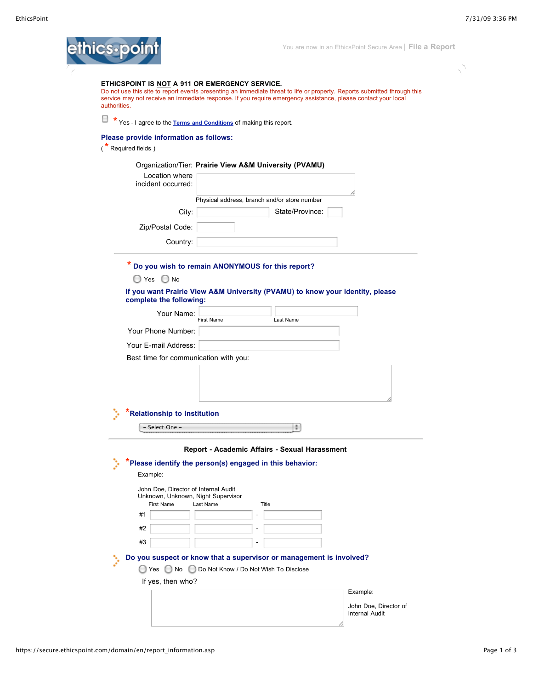$\mathcal{L}_{\mathcal{C}}$ 

| ETHICSPOINT IS NOT A 911 OR EMERGENCY SERVICE.<br>Do not use this site to report events presenting an immediate threat to life or property. Reports submitted through this<br>service may not receive an immediate response. If you require emergency assistance, please contact your local<br>authorities.<br>* Yes - I agree to the Terms and Conditions of making this report.<br>Please provide information as follows:<br>$(* \n% \mathbb{Z} \times \mathbb{Z})$ Required fields $(*)$<br>Organization/Tier: Prairie View A&M University (PVAMU)<br>Location where<br>incident occurred:<br>Physical address, branch and/or store number<br>State/Province:<br>City:<br>Zip/Postal Code:<br>Country:<br>Do you wish to remain ANONYMOUS for this report?<br>$\bigcirc$ Yes $\bigcirc$ No<br>If you want Prairie View A&M University (PVAMU) to know your identity, please<br>complete the following:<br>Your Name:<br><b>First Name</b><br>Last Name<br>Your Phone Number:<br>Your E-mail Address:<br>Best time for communication with you:<br>Relationship to Institution<br>÷.<br>– Select One – |  |
|---------------------------------------------------------------------------------------------------------------------------------------------------------------------------------------------------------------------------------------------------------------------------------------------------------------------------------------------------------------------------------------------------------------------------------------------------------------------------------------------------------------------------------------------------------------------------------------------------------------------------------------------------------------------------------------------------------------------------------------------------------------------------------------------------------------------------------------------------------------------------------------------------------------------------------------------------------------------------------------------------------------------------------------------------------------------------------------------------------|--|
|                                                                                                                                                                                                                                                                                                                                                                                                                                                                                                                                                                                                                                                                                                                                                                                                                                                                                                                                                                                                                                                                                                         |  |
|                                                                                                                                                                                                                                                                                                                                                                                                                                                                                                                                                                                                                                                                                                                                                                                                                                                                                                                                                                                                                                                                                                         |  |
|                                                                                                                                                                                                                                                                                                                                                                                                                                                                                                                                                                                                                                                                                                                                                                                                                                                                                                                                                                                                                                                                                                         |  |
|                                                                                                                                                                                                                                                                                                                                                                                                                                                                                                                                                                                                                                                                                                                                                                                                                                                                                                                                                                                                                                                                                                         |  |
|                                                                                                                                                                                                                                                                                                                                                                                                                                                                                                                                                                                                                                                                                                                                                                                                                                                                                                                                                                                                                                                                                                         |  |
|                                                                                                                                                                                                                                                                                                                                                                                                                                                                                                                                                                                                                                                                                                                                                                                                                                                                                                                                                                                                                                                                                                         |  |
|                                                                                                                                                                                                                                                                                                                                                                                                                                                                                                                                                                                                                                                                                                                                                                                                                                                                                                                                                                                                                                                                                                         |  |
|                                                                                                                                                                                                                                                                                                                                                                                                                                                                                                                                                                                                                                                                                                                                                                                                                                                                                                                                                                                                                                                                                                         |  |
|                                                                                                                                                                                                                                                                                                                                                                                                                                                                                                                                                                                                                                                                                                                                                                                                                                                                                                                                                                                                                                                                                                         |  |
|                                                                                                                                                                                                                                                                                                                                                                                                                                                                                                                                                                                                                                                                                                                                                                                                                                                                                                                                                                                                                                                                                                         |  |
|                                                                                                                                                                                                                                                                                                                                                                                                                                                                                                                                                                                                                                                                                                                                                                                                                                                                                                                                                                                                                                                                                                         |  |
|                                                                                                                                                                                                                                                                                                                                                                                                                                                                                                                                                                                                                                                                                                                                                                                                                                                                                                                                                                                                                                                                                                         |  |
|                                                                                                                                                                                                                                                                                                                                                                                                                                                                                                                                                                                                                                                                                                                                                                                                                                                                                                                                                                                                                                                                                                         |  |
|                                                                                                                                                                                                                                                                                                                                                                                                                                                                                                                                                                                                                                                                                                                                                                                                                                                                                                                                                                                                                                                                                                         |  |
|                                                                                                                                                                                                                                                                                                                                                                                                                                                                                                                                                                                                                                                                                                                                                                                                                                                                                                                                                                                                                                                                                                         |  |
|                                                                                                                                                                                                                                                                                                                                                                                                                                                                                                                                                                                                                                                                                                                                                                                                                                                                                                                                                                                                                                                                                                         |  |
|                                                                                                                                                                                                                                                                                                                                                                                                                                                                                                                                                                                                                                                                                                                                                                                                                                                                                                                                                                                                                                                                                                         |  |
| Report - Academic Affairs - Sexual Harassment<br>"Please identify the person(s) engaged in this behavior:<br>Example:                                                                                                                                                                                                                                                                                                                                                                                                                                                                                                                                                                                                                                                                                                                                                                                                                                                                                                                                                                                   |  |
| John Doe, Director of Internal Audit<br>Unknown, Unknown, Night Supervisor<br>First Name<br>Last Name<br>Title                                                                                                                                                                                                                                                                                                                                                                                                                                                                                                                                                                                                                                                                                                                                                                                                                                                                                                                                                                                          |  |
| #1<br>#2                                                                                                                                                                                                                                                                                                                                                                                                                                                                                                                                                                                                                                                                                                                                                                                                                                                                                                                                                                                                                                                                                                |  |
| #3                                                                                                                                                                                                                                                                                                                                                                                                                                                                                                                                                                                                                                                                                                                                                                                                                                                                                                                                                                                                                                                                                                      |  |
| Do you suspect or know that a supervisor or management is involved?<br>◯ Yes ◯ No ◯ Do Not Know / Do Not Wish To Disclose                                                                                                                                                                                                                                                                                                                                                                                                                                                                                                                                                                                                                                                                                                                                                                                                                                                                                                                                                                               |  |
| If yes, then who?                                                                                                                                                                                                                                                                                                                                                                                                                                                                                                                                                                                                                                                                                                                                                                                                                                                                                                                                                                                                                                                                                       |  |
| Example:                                                                                                                                                                                                                                                                                                                                                                                                                                                                                                                                                                                                                                                                                                                                                                                                                                                                                                                                                                                                                                                                                                |  |
| John Doe, Director of<br><b>Internal Audit</b>                                                                                                                                                                                                                                                                                                                                                                                                                                                                                                                                                                                                                                                                                                                                                                                                                                                                                                                                                                                                                                                          |  |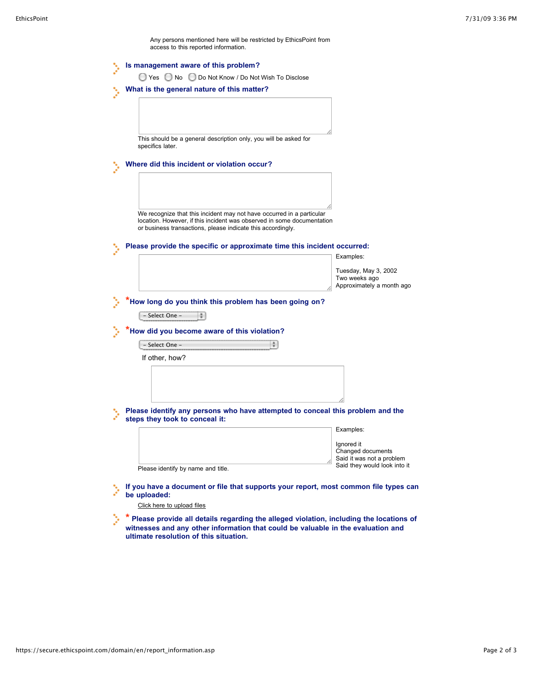Any persons mentioned here will be restricted by EthicsPoint from access to this reported information.

| Is management aware of this problem?                                                                                                                                                                           |
|----------------------------------------------------------------------------------------------------------------------------------------------------------------------------------------------------------------|
| ◯ Yes ◯ No ◯ Do Not Know / Do Not Wish To Disclose                                                                                                                                                             |
| What is the general nature of this matter?                                                                                                                                                                     |
| This should be a general description only, you will be asked for<br>specifics later.                                                                                                                           |
| Where did this incident or violation occur?                                                                                                                                                                    |
| We recognize that this incident may not have occurred in a particular<br>location. However, if this incident was observed in some documentation<br>or business transactions, please indicate this accordingly. |
| Please provide the specific or approximate time this incident occurred:                                                                                                                                        |
| Examples:<br>Tuesday, May 3, 2002<br>Two weeks ago<br>Approximately a month ago                                                                                                                                |
| How long do you think this problem has been going on?                                                                                                                                                          |
| ã,<br>- Select One -                                                                                                                                                                                           |
| How did you become aware of this violation?                                                                                                                                                                    |
| ÷.<br>- Select One -                                                                                                                                                                                           |
| If other, how?                                                                                                                                                                                                 |
| Please identify any persons who have attempted to conceal this problem and the                                                                                                                                 |
| steps they took to conceal it:                                                                                                                                                                                 |
| Examples:<br>Ignored it<br>Changed documents<br>Said it was not a problem<br>Said they would look into it<br>Please identify by name and title.                                                                |
| If you have a document or file that supports your report, most common file types can<br>be uploaded:                                                                                                           |
| Click here to upload files                                                                                                                                                                                     |

У **\* Please provide all details regarding the alleged violation, including the locations of witnesses and any other information that could be valuable in the evaluation and ultimate resolution of this situation.**